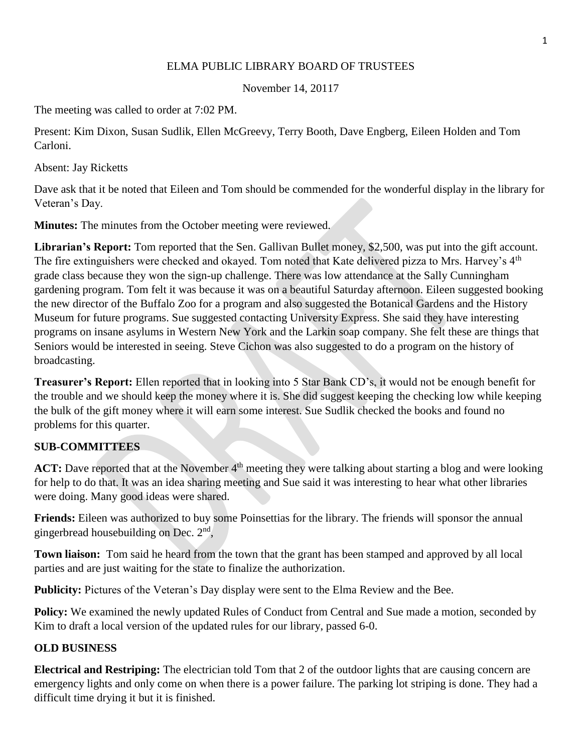## ELMA PUBLIC LIBRARY BOARD OF TRUSTEES

November 14, 20117

The meeting was called to order at 7:02 PM.

Present: Kim Dixon, Susan Sudlik, Ellen McGreevy, Terry Booth, Dave Engberg, Eileen Holden and Tom Carloni.

Absent: Jay Ricketts

Dave ask that it be noted that Eileen and Tom should be commended for the wonderful display in the library for Veteran's Day.

**Minutes:** The minutes from the October meeting were reviewed.

**Librarian's Report:** Tom reported that the Sen. Gallivan Bullet money, \$2,500, was put into the gift account. The fire extinguishers were checked and okayed. Tom noted that Kate delivered pizza to Mrs. Harvey's 4<sup>th</sup> grade class because they won the sign-up challenge. There was low attendance at the Sally Cunningham gardening program. Tom felt it was because it was on a beautiful Saturday afternoon. Eileen suggested booking the new director of the Buffalo Zoo for a program and also suggested the Botanical Gardens and the History Museum for future programs. Sue suggested contacting University Express. She said they have interesting programs on insane asylums in Western New York and the Larkin soap company. She felt these are things that Seniors would be interested in seeing. Steve Cichon was also suggested to do a program on the history of broadcasting.

**Treasurer's Report:** Ellen reported that in looking into 5 Star Bank CD's, it would not be enough benefit for the trouble and we should keep the money where it is. She did suggest keeping the checking low while keeping the bulk of the gift money where it will earn some interest. Sue Sudlik checked the books and found no problems for this quarter.

## **SUB-COMMITTEES**

**ACT:** Dave reported that at the November 4<sup>th</sup> meeting they were talking about starting a blog and were looking for help to do that. It was an idea sharing meeting and Sue said it was interesting to hear what other libraries were doing. Many good ideas were shared.

**Friends:** Eileen was authorized to buy some Poinsettias for the library. The friends will sponsor the annual gingerbread housebuilding on Dec. 2<sup>nd</sup>,

**Town liaison:** Tom said he heard from the town that the grant has been stamped and approved by all local parties and are just waiting for the state to finalize the authorization.

**Publicity:** Pictures of the Veteran's Day display were sent to the Elma Review and the Bee.

Policy: We examined the newly updated Rules of Conduct from Central and Sue made a motion, seconded by Kim to draft a local version of the updated rules for our library, passed 6-0.

## **OLD BUSINESS**

**Electrical and Restriping:** The electrician told Tom that 2 of the outdoor lights that are causing concern are emergency lights and only come on when there is a power failure. The parking lot striping is done. They had a difficult time drying it but it is finished.